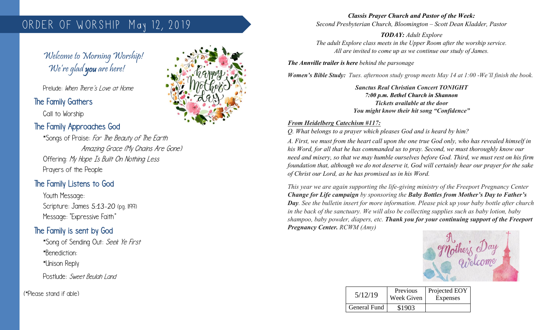# ORDER OF WORSHIP May 12, 2019

Welcome to Morning Worship! We're glad you are here!

Prelude: When There's Love at Home

#### The Family Gathers

 $\overline{\phantom{a}}$ 

Call to Worship

#### The Family Approaches God

\*Songs of Praise: For The Beauty of The Earth Amazing Grace (My Chains Are Gone) Offering: My Hope Is Built On Nothing Less Prayers of the People

## The Family Listens to God

Youth Message: Scripture: James 5:13-20 (pg. 1199) Message: "Expressive Faith"

## The Family is sent by God

\*Song of Sending Out: Seek Ye First \*Benediction: \*Unison Reply

Postlude: Sweet Beulah Land

(\*Please stand if able)



*Classis Prayer Church and Pastor of the Week: Second Presbyterian Church, Bloomington – Scott Dean Kladder, Pastor*

*TODAY: Adult Explore The adult Explore class meets in the Upper Room after the worship service. All are invited to come up as we continue our study of James.*

*The Annville trailer is here behind the parsonage*

*Women's Bible Study: Tues. afternoon study group meets May 14 at 1:00 -We'll finish the book.*

*Sanctus Real Christian Concert TONIGHT 7:00 p.m. Bethel Church in Shannon Tickets available at the door You might know their hit song "Confidence"*

#### *From Heidelberg Catechism #117:*

*Q. What belongs to a prayer which pleases God and is heard by him?*

*A. First, we must from the heart call upon the one true God only, who has revealed himself in his Word, for all that he has commanded us to pray. Second, we must thoroughly know our need and misery, so that we may humble ourselves before God. Third, we must rest on his firm foundation that, although we do not deserve it, God will certainly hear our prayer for the sake of Christ our Lord, as he has promised us in his Word.*

*This year we are again supporting the life-giving ministry of the Freeport Pregnancy Center Change for Life campaign by sponsoring the Baby Bottles from Mother's Day to Father's Day. See the bulletin insert for more information. Please pick up your baby bottle after church in the back of the sanctuary. We will also be collecting supplies such as baby lotion, baby shampoo, baby powder, diapers, etc. Thank you for your continuing support of the Freeport Pregnancy Center. RCWM (Amy)*



| 5/12/19      | Previous<br>Week Given | Projected EOY<br>Expenses |
|--------------|------------------------|---------------------------|
| General Fund | \$1903                 |                           |